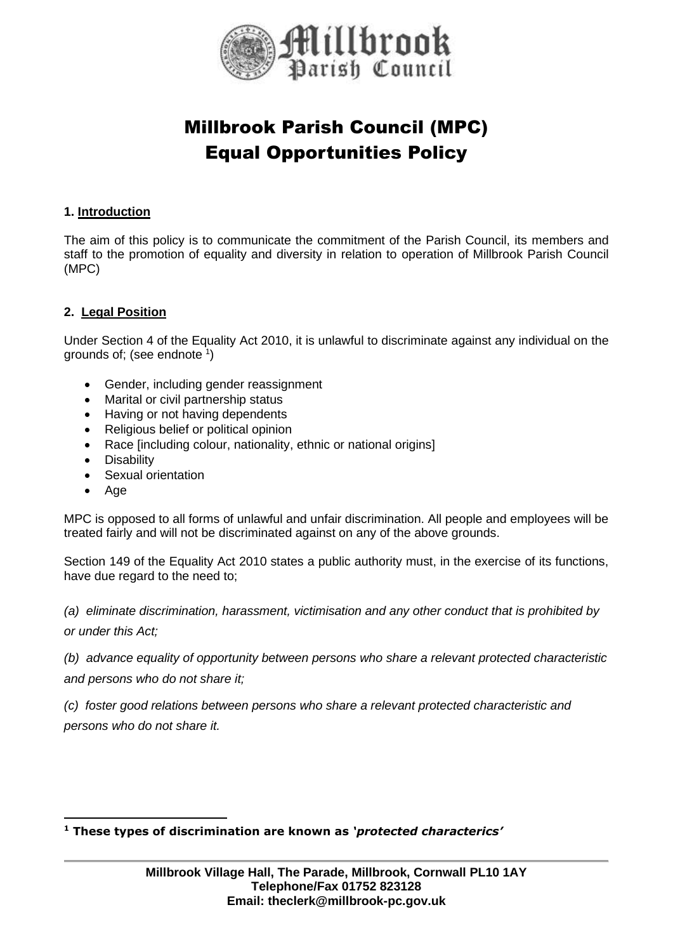

# Millbrook Parish Council (MPC) Equal Opportunities Policy

## **1. Introduction**

The aim of this policy is to communicate the commitment of the Parish Council, its members and staff to the promotion of equality and diversity in relation to operation of Millbrook Parish Council (MPC)

## **2. Legal Position**

Under Section 4 of the Equality Act 2010, it is unlawful to discriminate against any individual on the grounds of; (see endnote 1)

- Gender, including gender reassignment
- Marital or civil partnership status
- Having or not having dependents
- Religious belief or political opinion
- Race [including colour, nationality, ethnic or national origins]
- Disability
- Sexual orientation
- Age

MPC is opposed to all forms of unlawful and unfair discrimination. All people and employees will be treated fairly and will not be discriminated against on any of the above grounds.

Section 149 of the Equality Act 2010 states a public authority must, in the exercise of its functions, have due regard to the need to;

*(a) eliminate discrimination, harassment, victimisation and any other conduct that is prohibited by or under this Act;*

*(b) advance equality of opportunity between persons who share a relevant protected characteristic and persons who do not share it;*

*(c) foster good relations between persons who share a relevant protected characteristic and persons who do not share it.*

**<sup>1</sup> These types of discrimination are known as** *'protected characterics'*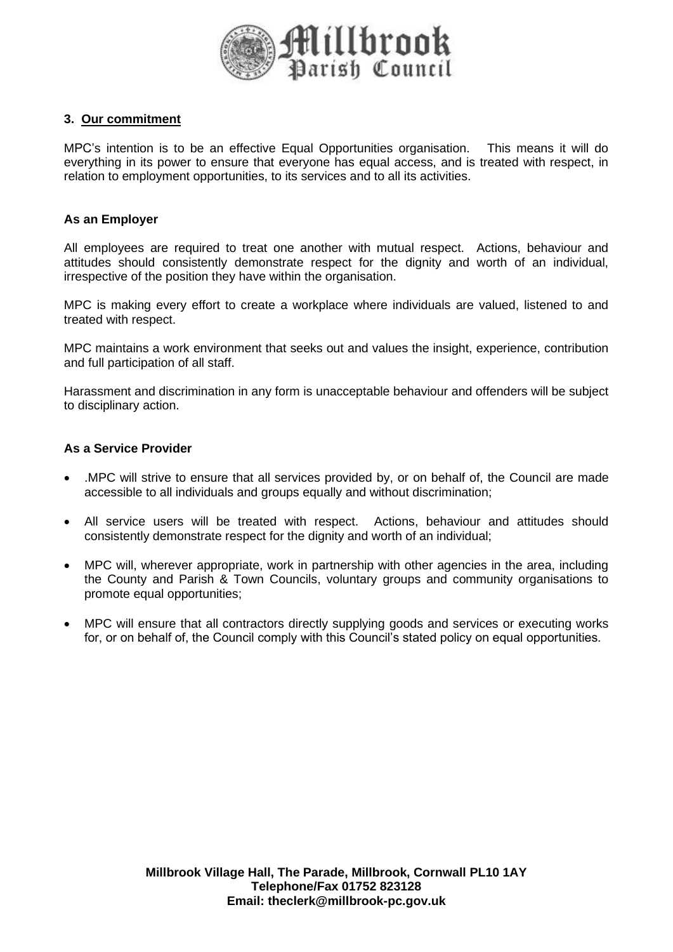

#### **3. Our commitment**

MPC's intention is to be an effective Equal Opportunities organisation. This means it will do everything in its power to ensure that everyone has equal access, and is treated with respect, in relation to employment opportunities, to its services and to all its activities.

#### **As an Employer**

All employees are required to treat one another with mutual respect. Actions, behaviour and attitudes should consistently demonstrate respect for the dignity and worth of an individual, irrespective of the position they have within the organisation.

MPC is making every effort to create a workplace where individuals are valued, listened to and treated with respect.

MPC maintains a work environment that seeks out and values the insight, experience, contribution and full participation of all staff.

Harassment and discrimination in any form is unacceptable behaviour and offenders will be subject to disciplinary action.

#### **As a Service Provider**

- .MPC will strive to ensure that all services provided by, or on behalf of, the Council are made accessible to all individuals and groups equally and without discrimination;
- All service users will be treated with respect. Actions, behaviour and attitudes should consistently demonstrate respect for the dignity and worth of an individual;
- MPC will, wherever appropriate, work in partnership with other agencies in the area, including the County and Parish & Town Councils, voluntary groups and community organisations to promote equal opportunities;
- MPC will ensure that all contractors directly supplying goods and services or executing works for, or on behalf of, the Council comply with this Council's stated policy on equal opportunities.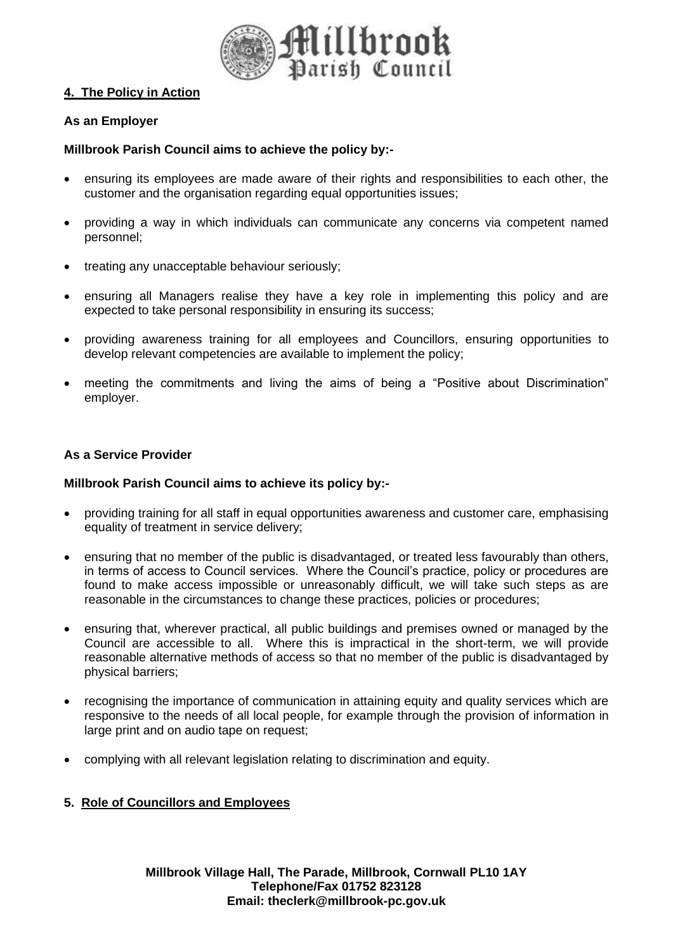

## **4. The Policy in Action**

# **As an Employer**

# **Millbrook Parish Council aims to achieve the policy by:-**

- ensuring its employees are made aware of their rights and responsibilities to each other, the customer and the organisation regarding equal opportunities issues:
- providing a way in which individuals can communicate any concerns via competent named personnel;
- treating any unacceptable behaviour seriously;
- ensuring all Managers realise they have a key role in implementing this policy and are expected to take personal responsibility in ensuring its success;
- providing awareness training for all employees and Councillors, ensuring opportunities to develop relevant competencies are available to implement the policy;
- meeting the commitments and living the aims of being a "Positive about Discrimination" employer.

## **As a Service Provider**

#### **Millbrook Parish Council aims to achieve its policy by:-**

- providing training for all staff in equal opportunities awareness and customer care, emphasising equality of treatment in service delivery;
- ensuring that no member of the public is disadvantaged, or treated less favourably than others, in terms of access to Council services. Where the Council's practice, policy or procedures are found to make access impossible or unreasonably difficult, we will take such steps as are reasonable in the circumstances to change these practices, policies or procedures;
- ensuring that, wherever practical, all public buildings and premises owned or managed by the Council are accessible to all. Where this is impractical in the short-term, we will provide reasonable alternative methods of access so that no member of the public is disadvantaged by physical barriers;
- recognising the importance of communication in attaining equity and quality services which are responsive to the needs of all local people, for example through the provision of information in large print and on audio tape on request;
- complying with all relevant legislation relating to discrimination and equity.

#### **5. Role of Councillors and Employees**

**Millbrook Village Hall, The Parade, Millbrook, Cornwall PL10 1AY Telephone/Fax 01752 823128 Email: theclerk@millbrook-pc.gov.uk**